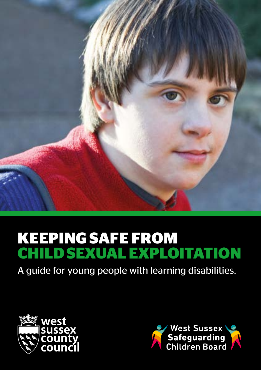

# **KEEPING SAFE FROM CHILD SEXUAL EXPLOITATION**

A guide for young people with learning disabilities.



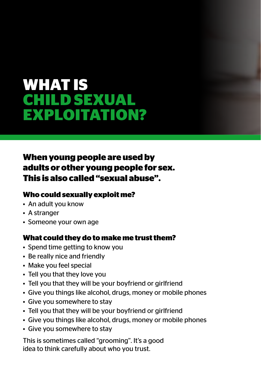## **WHAT IS CHILD SEXUAL EXPLOITATION?**

### **When young people are used by adults or other young people for sex. This is also called "sexual abuse".**

#### **Who could sexually exploit me?**

- An adult you know
- A stranger
- Someone your own age

#### **What could they do to make me trust them?**

- Spend time getting to know you
- Be really nice and friendly
- Make you feel special
- Tell you that they love you
- Tell you that they will be your boyfriend or girlfriend
- Give you things like alcohol, drugs, money or mobile phones
- Give you somewhere to stay
- Tell you that they will be your boyfriend or girlfriend
- Give you things like alcohol, drugs, money or mobile phones
- Give you somewhere to stay

This is sometimes called "grooming". It's a good idea to think carefully about who you trust.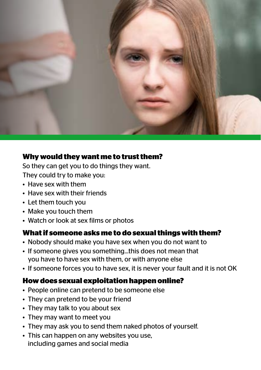

#### **Why would they want me to trust them?**

So they can get you to do things they want.

They could try to make you:

- Have sex with them
- Have sex with their friends
- Let them touch you
- Make you touch them
- Watch or look at sex films or photos

#### **What if someone asks me to do sexual things with them?**

- Nobody should make you have sex when you do not want to
- If someone gives you something...this does not mean that you have to have sex with them, or with anyone else
- If someone forces you to have sex, it is never your fault and it is not OK

#### **How does sexual exploitation happen online?**

- People online can pretend to be someone else
- They can pretend to be your friend
- They may talk to you about sex
- They may want to meet you
- They may ask you to send them naked photos of yourself.
- This can happen on any websites you use, including games and social media